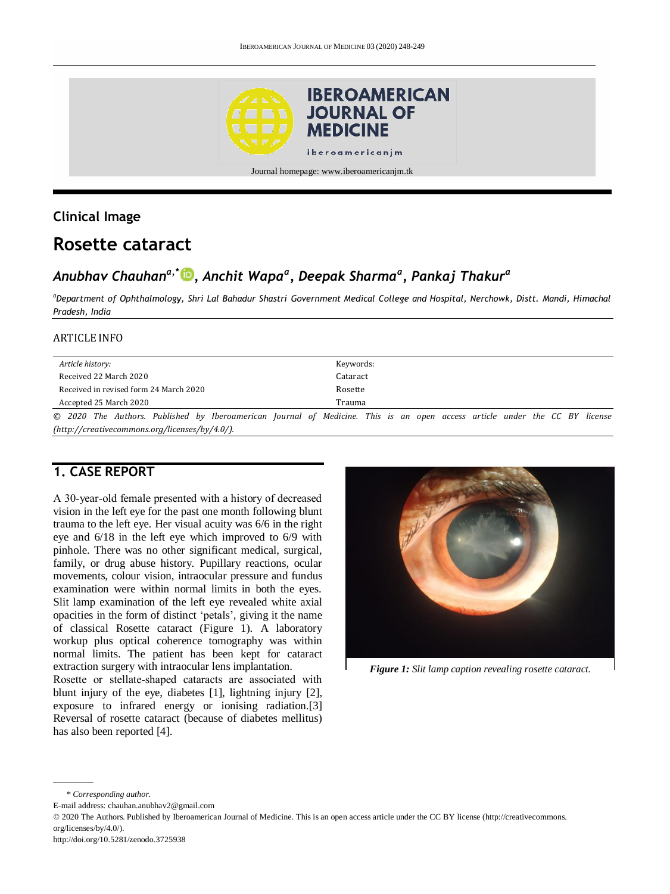

### **Clinical Image**

# **Rosette cataract**

## *Anubhav Chauhana,\* [,](http://orcid.org/0000-0002-1122-2202) Anchit Wapa<sup>a</sup> , Deepak Sharma<sup>a</sup> , Pankaj Thakur<sup>a</sup>*

*<sup>a</sup>Department of Ophthalmology, Shri Lal Bahadur Shastri Government Medical College and Hospital, Nerchowk, Distt. Mandi, Himachal Pradesh, India*

#### ARTICLE INFO

| Article history:                       | Keywords:                                                                                                                  |
|----------------------------------------|----------------------------------------------------------------------------------------------------------------------------|
| Received 22 March 2020                 | Cataract                                                                                                                   |
| Received in revised form 24 March 2020 | Rosette                                                                                                                    |
| Accepted 25 March 2020                 | Trauma                                                                                                                     |
|                                        | © 2020 The Authors. Published by Iberoamerican Journal of Medicine. This is an open access article under the CC BY license |

*[\(http://creativecommons.org/licenses/by/4.0/\)](http://creativecommons.org/licenses/by/4.0/).*

### **1. CASE REPORT**

A 30‐year‐old female presented with a history of decreased vision in the left eye for the past one month following blunt trauma to the left eye. Her visual acuity was 6/6 in the right eye and 6/18 in the left eye which improved to 6/9 with pinhole. There was no other significant medical, surgical, family, or drug abuse history. Pupillary reactions, ocular movements, colour vision, intraocular pressure and fundus examination were within normal limits in both the eyes. Slit lamp examination of the left eye revealed white axial opacities in the form of distinct 'petals', giving it the name of classical Rosette cataract (Figure 1). A laboratory workup plus optical coherence tomography was within normal limits. The patient has been kept for cataract extraction surgery with intraocular lens implantation.

Rosette or stellate‐shaped cataracts are associated with blunt injury of the eye, diabetes [1], lightning injury [2], exposure to infrared energy or ionising radiation.[3] Reversal of rosette cataract (because of diabetes mellitus) has also been reported [4].



*Figure 1: Slit lamp caption revealing rosette cataract.*

\* *Corresponding author.*

E-mail address: chauhan.anubhav2@gmail.com

© 2020 The Authors. Published by Iberoamerican Journal of Medicine. This is an open access article under the CC BY license (http://creativecommons. org/licenses/by/4.0/).